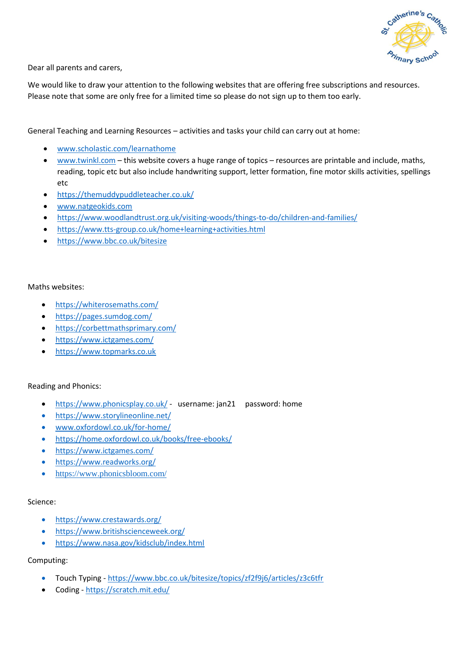

Dear all parents and carers,

We would like to draw your attention to the following websites that are offering free subscriptions and resources. Please note that some are only free for a limited time so please do not sign up to them too early.

General Teaching and Learning Resources – activities and tasks your child can carry out at home:

- [www.scholastic.com/learnathome](file:///C:/Users/ZSL-2000/Documents/Shut%20down/www.scholastic.com/learnathome)
- [www.twinkl.com](file:///C:/Users/ZSL-2000/Documents/Shut%20down/www.twinkl.com) this website covers a huge range of topics resources are printable and include, maths, reading, topic etc but also include handwriting support, letter formation, fine motor skills activities, spellings etc
- <https://themuddypuddleteacher.co.uk/>
- [www.natgeokids.com](file:///C:/Users/ZSL-2000/Documents/Shut%20down/www.natgeokids.com)
- <https://www.woodlandtrust.org.uk/visiting-woods/things-to-do/children-and-families/>
- <https://www.tts-group.co.uk/home+learning+activities.html>
- <https://www.bbc.co.uk/bitesize>

## Maths websites:

- <https://whiterosemaths.com/>
- <https://pages.sumdog.com/>
- <https://corbettmathsprimary.com/>
- <https://www.ictgames.com/>
- [https://www.topmarks.co.uk](https://www.topmarks.co.uk/)

## Reading and Phonics:

- <https://www.phonicsplay.co.uk/> username: jan21 password: home
- <https://www.storylineonline.net/>
- [www.oxfordowl.co.uk/for-home/](http://www.oxfordowl.co.uk/for-home/)
- <https://home.oxfordowl.co.uk/books/free-ebooks/>
- <https://www.ictgames.com/>
- <https://www.readworks.org/>
- <https://www.phonicsbloom.com/>

## Science:

- <https://www.crestawards.org/>
- <https://www.britishscienceweek.org/>
- <https://www.nasa.gov/kidsclub/index.html>

## Computing:

- Touch Typing <https://www.bbc.co.uk/bitesize/topics/zf2f9j6/articles/z3c6tfr>
- Coding <https://scratch.mit.edu/>